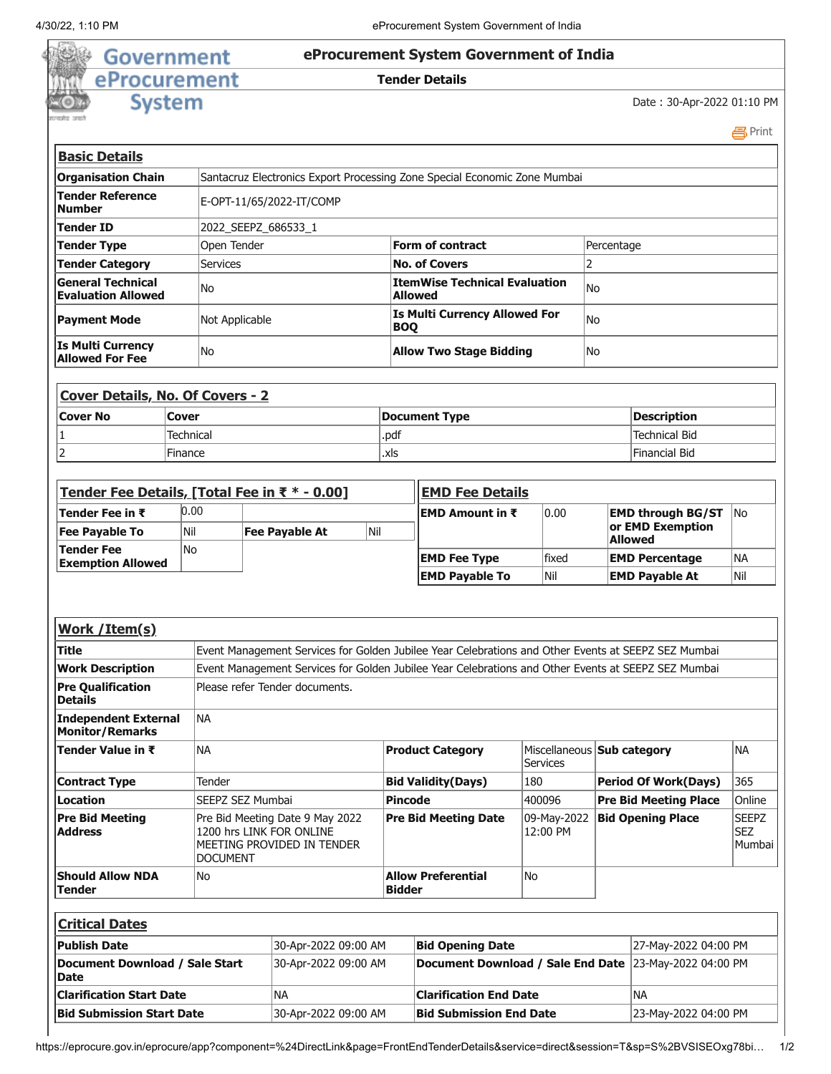## **Government eProcurement System Government of India** 鹞 eProcurement **Tender Details System**

Date : 30-Apr-2022 01:10 PM

|                                                       |                      |                                                                                                       |                                                                                                     |     |  |                                                         |                                                                                                     |                 |                                 |                                                |                              | 昌Print                               |  |
|-------------------------------------------------------|----------------------|-------------------------------------------------------------------------------------------------------|-----------------------------------------------------------------------------------------------------|-----|--|---------------------------------------------------------|-----------------------------------------------------------------------------------------------------|-----------------|---------------------------------|------------------------------------------------|------------------------------|--------------------------------------|--|
| <b>Basic Details</b>                                  |                      |                                                                                                       |                                                                                                     |     |  |                                                         |                                                                                                     |                 |                                 |                                                |                              |                                      |  |
| <b>Organisation Chain</b>                             |                      | Santacruz Electronics Export Processing Zone Special Economic Zone Mumbai                             |                                                                                                     |     |  |                                                         |                                                                                                     |                 |                                 |                                                |                              |                                      |  |
| <b>Tender Reference</b><br><b>Number</b>              |                      | E-OPT-11/65/2022-IT/COMP                                                                              |                                                                                                     |     |  |                                                         |                                                                                                     |                 |                                 |                                                |                              |                                      |  |
| Tender ID                                             |                      | 2022_SEEPZ_686533_1                                                                                   |                                                                                                     |     |  |                                                         |                                                                                                     |                 |                                 |                                                |                              |                                      |  |
| <b>Tender Type</b>                                    |                      | Open Tender                                                                                           |                                                                                                     |     |  | <b>Form of contract</b>                                 |                                                                                                     |                 |                                 |                                                | Percentage                   |                                      |  |
| <b>Tender Category</b>                                |                      | <b>Services</b>                                                                                       |                                                                                                     |     |  | <b>No. of Covers</b>                                    |                                                                                                     |                 |                                 | $\overline{2}$                                 |                              |                                      |  |
| <b>General Technical</b><br><b>Evaluation Allowed</b> |                      | No                                                                                                    |                                                                                                     |     |  | <b>ItemWise Technical Evaluation</b><br><b>Allowed</b>  |                                                                                                     |                 | No                              |                                                |                              |                                      |  |
| <b>Payment Mode</b>                                   |                      | Not Applicable                                                                                        |                                                                                                     |     |  | <b>Is Multi Currency Allowed For</b><br><b>BOQ</b>      |                                                                                                     |                 |                                 | No                                             |                              |                                      |  |
| <b>Is Multi Currency</b><br><b>Allowed For Fee</b>    |                      | No                                                                                                    |                                                                                                     |     |  | <b>Allow Two Stage Bidding</b>                          |                                                                                                     |                 | No                              |                                                |                              |                                      |  |
| <b>Cover Details, No. Of Covers - 2</b>               |                      |                                                                                                       |                                                                                                     |     |  |                                                         |                                                                                                     |                 |                                 |                                                |                              |                                      |  |
| <b>Cover No</b>                                       | Cover                |                                                                                                       |                                                                                                     |     |  | <b>Document Type</b>                                    |                                                                                                     |                 |                                 |                                                | <b>Description</b>           |                                      |  |
| 1                                                     | Technical            |                                                                                                       |                                                                                                     |     |  | .pdf                                                    |                                                                                                     |                 |                                 | <b>Technical Bid</b>                           |                              |                                      |  |
| $\overline{2}$<br>Finance                             |                      |                                                                                                       |                                                                                                     |     |  | .xls                                                    |                                                                                                     |                 |                                 |                                                | <b>Financial Bid</b>         |                                      |  |
|                                                       |                      |                                                                                                       |                                                                                                     |     |  |                                                         |                                                                                                     |                 |                                 |                                                |                              |                                      |  |
| Tender Fee Details, [Total Fee in ₹ * - 0.00]         |                      |                                                                                                       |                                                                                                     |     |  |                                                         | <b>EMD Fee Details</b>                                                                              |                 |                                 |                                                |                              |                                      |  |
| Tender Fee in ₹                                       | 0.00                 |                                                                                                       |                                                                                                     |     |  | 0.00<br>EMD Amount in ₹                                 |                                                                                                     |                 | No.<br><b>EMD through BG/ST</b> |                                                |                              |                                      |  |
| <b>Fee Payable To</b><br>Nil                          |                      | <b>Fee Payable At</b>                                                                                 |                                                                                                     | Nil |  |                                                         |                                                                                                     |                 |                                 | or EMD Exemption                               |                              |                                      |  |
| <b>Tender Fee</b><br><b>No</b>                        |                      |                                                                                                       |                                                                                                     |     |  | fixed<br><b>EMD Fee Type</b>                            |                                                                                                     |                 | <b>Allowed</b>                  |                                                | <b>NA</b>                    |                                      |  |
| <b>Exemption Allowed</b>                              |                      |                                                                                                       |                                                                                                     |     |  |                                                         | <b>EMD Payable To</b>                                                                               |                 |                                 | <b>EMD Percentage</b><br><b>EMD Payable At</b> |                              | Nil                                  |  |
|                                                       |                      |                                                                                                       |                                                                                                     |     |  |                                                         |                                                                                                     | Nil             |                                 |                                                |                              |                                      |  |
|                                                       |                      |                                                                                                       |                                                                                                     |     |  |                                                         |                                                                                                     |                 |                                 |                                                |                              |                                      |  |
| Work / Item(s)                                        |                      |                                                                                                       |                                                                                                     |     |  |                                                         |                                                                                                     |                 |                                 |                                                |                              |                                      |  |
| Title                                                 |                      |                                                                                                       |                                                                                                     |     |  |                                                         | Event Management Services for Golden Jubilee Year Celebrations and Other Events at SEEPZ SEZ Mumbai |                 |                                 |                                                |                              |                                      |  |
| <b>Work Description</b>                               |                      |                                                                                                       | Event Management Services for Golden Jubilee Year Celebrations and Other Events at SEEPZ SEZ Mumbai |     |  |                                                         |                                                                                                     |                 |                                 |                                                |                              |                                      |  |
| <b>Pre Qualification</b><br><b>Details</b>            |                      | Please refer Tender documents.                                                                        |                                                                                                     |     |  |                                                         |                                                                                                     |                 |                                 |                                                |                              |                                      |  |
| <b>Independent External</b><br><b>Monitor/Remarks</b> |                      | <b>NA</b>                                                                                             |                                                                                                     |     |  |                                                         |                                                                                                     |                 |                                 |                                                |                              |                                      |  |
| Tender Value in ₹                                     |                      | <b>NA</b>                                                                                             |                                                                                                     |     |  | <b>Product Category</b>                                 |                                                                                                     | <b>Services</b> |                                 | Miscellaneous Sub category                     |                              | <b>NA</b>                            |  |
| <b>Contract Type</b>                                  |                      | Tender                                                                                                |                                                                                                     |     |  | <b>Bid Validity(Days)</b>                               |                                                                                                     | 180             |                                 | <b>Period Of Work(Days)</b>                    |                              | 365                                  |  |
| <b>Location</b>                                       |                      | SEEPZ SEZ Mumbai                                                                                      |                                                                                                     |     |  | <b>Pincode</b>                                          |                                                                                                     | 400096          |                                 |                                                | <b>Pre Bid Meeting Place</b> | Online                               |  |
| <b>Pre Bid Meeting</b><br><b>Address</b>              |                      | Pre Bid Meeting Date 9 May 2022<br>1200 hrs LINK FOR ONLINE<br>MEETING PROVIDED IN TENDER<br>DOCUMENT |                                                                                                     |     |  | <b>Pre Bid Meeting Date</b>                             |                                                                                                     | 12:00 PM        | 09-May-2022                     |                                                | <b>Bid Opening Place</b>     | <b>SEEPZ</b><br><b>SEZ</b><br>Mumbai |  |
| <b>Should Allow NDA</b><br><b>Tender</b>              |                      | No                                                                                                    |                                                                                                     |     |  | <b>No</b><br><b>Allow Preferential</b><br><b>Bidder</b> |                                                                                                     |                 |                                 |                                                |                              |                                      |  |
| <b>Critical Dates</b>                                 |                      |                                                                                                       |                                                                                                     |     |  |                                                         |                                                                                                     |                 |                                 |                                                |                              |                                      |  |
| <b>Publish Date</b>                                   | 30-Apr-2022 09:00 AM |                                                                                                       |                                                                                                     |     |  | <b>Bid Opening Date</b>                                 |                                                                                                     |                 |                                 | 27-May-2022 04:00 PM                           |                              |                                      |  |
| Document Download / Sale Start<br>Date                |                      | 30-Apr-2022 09:00 AM                                                                                  |                                                                                                     |     |  | Document Download / Sale End Date 23-May-2022 04:00 PM  |                                                                                                     |                 |                                 |                                                |                              |                                      |  |
|                                                       |                      |                                                                                                       |                                                                                                     |     |  |                                                         |                                                                                                     |                 |                                 |                                                |                              |                                      |  |

**Bid Submission Start Date 30-Apr-2022 09:00 AM Bid Submission End Date** 23-May-2022 04:00 PM

**Clarification Start Date** NA **Clarification End Date** NA